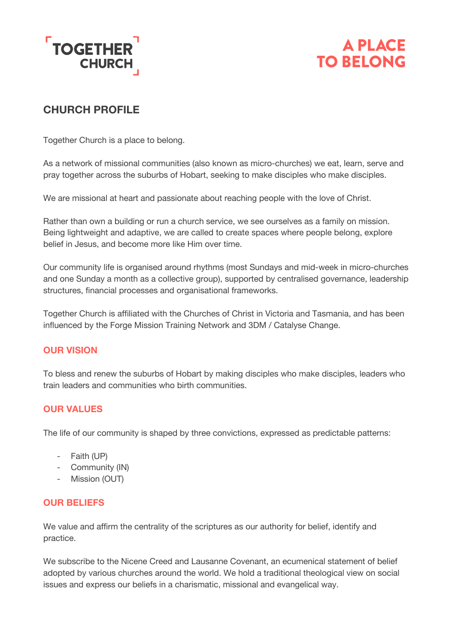



# **CHURCH PROFILE**

Together Church is a place to belong.

As a network of missional communities (also known as micro-churches) we eat, learn, serve and pray together across the suburbs of Hobart, seeking to make disciples who make disciples.

We are missional at heart and passionate about reaching people with the love of Christ.

Rather than own a building or run a church service, we see ourselves as a family on mission. Being lightweight and adaptive, we are called to create spaces where people belong, explore belief in Jesus, and become more like Him over time.

Our community life is organised around rhythms (most Sundays and mid-week in micro-churches and one Sunday a month as a collective group), supported by centralised governance, leadership structures, financial processes and organisational frameworks.

Together Church is affiliated with the Churches of Christ in Victoria and Tasmania, and has been influenced by the Forge Mission Training Network and 3DM / Catalyse Change.

## **OUR VISION**

To bless and renew the suburbs of Hobart by making disciples who make disciples, leaders who train leaders and communities who birth communities.

## **OUR VALUES**

The life of our community is shaped by three convictions, expressed as predictable patterns:

- Faith (UP)
- Community (IN)
- Mission (OUT)

#### **OUR BELIEFS**

We value and affirm the centrality of the scriptures as our authority for belief, identify and practice.

We subscribe to the Nicene Creed and Lausanne Covenant, an ecumenical statement of belief adopted by various churches around the world. We hold a traditional theological view on social issues and express our beliefs in a charismatic, missional and evangelical way.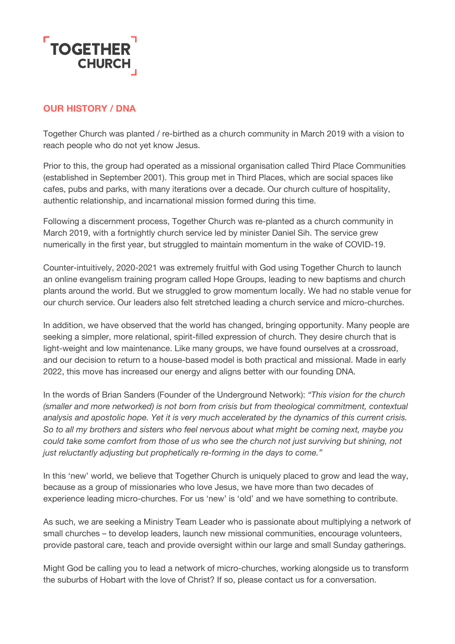

### **OUR HISTORY / DNA**

Together Church was planted / re-birthed as a church community in March 2019 with a vision to reach people who do not yet know Jesus.

Prior to this, the group had operated as a missional organisation called Third Place Communities (established in September 2001). This group met in Third Places, which are social spaces like cafes, pubs and parks, with many iterations over a decade. Our church culture of hospitality, authentic relationship, and incarnational mission formed during this time.

Following a discernment process, Together Church was re-planted as a church community in March 2019, with a fortnightly church service led by minister Daniel Sih. The service grew numerically in the first year, but struggled to maintain momentum in the wake of COVID-19.

Counter-intuitively, 2020-2021 was extremely fruitful with God using Together Church to launch an online evangelism training program called Hope Groups, leading to new baptisms and church plants around the world. But we struggled to grow momentum locally. We had no stable venue for our church service. Our leaders also felt stretched leading a church service and micro-churches.

In addition, we have observed that the world has changed, bringing opportunity. Many people are seeking a simpler, more relational, spirit-filled expression of church. They desire church that is light-weight and low maintenance. Like many groups, we have found ourselves at a crossroad, and our decision to return to a house-based model is both practical and missional. Made in early 2022, this move has increased our energy and aligns better with our founding DNA.

In the words of Brian Sanders (Founder of the Underground Network): *"This vision for the church (smaller and more networked) is not born from crisis but from theological commitment, contextual analysis and apostolic hope. Yet it is very much accelerated by the dynamics of this current crisis. So to all my brothers and sisters who feel nervous about what might be coming next, maybe you could take some comfort from those of us who see the church not just surviving but shining, not just reluctantly adjusting but prophetically re-forming in the days to come."*

In this 'new' world, we believe that Together Church is uniquely placed to grow and lead the way, because as a group of missionaries who love Jesus, we have more than two decades of experience leading micro-churches. For us 'new' is 'old' and we have something to contribute.

As such, we are seeking a Ministry Team Leader who is passionate about multiplying a network of small churches – to develop leaders, launch new missional communities, encourage volunteers, provide pastoral care, teach and provide oversight within our large and small Sunday gatherings.

Might God be calling you to lead a network of micro-churches, working alongside us to transform the suburbs of Hobart with the love of Christ? If so, please contact us for a conversation.